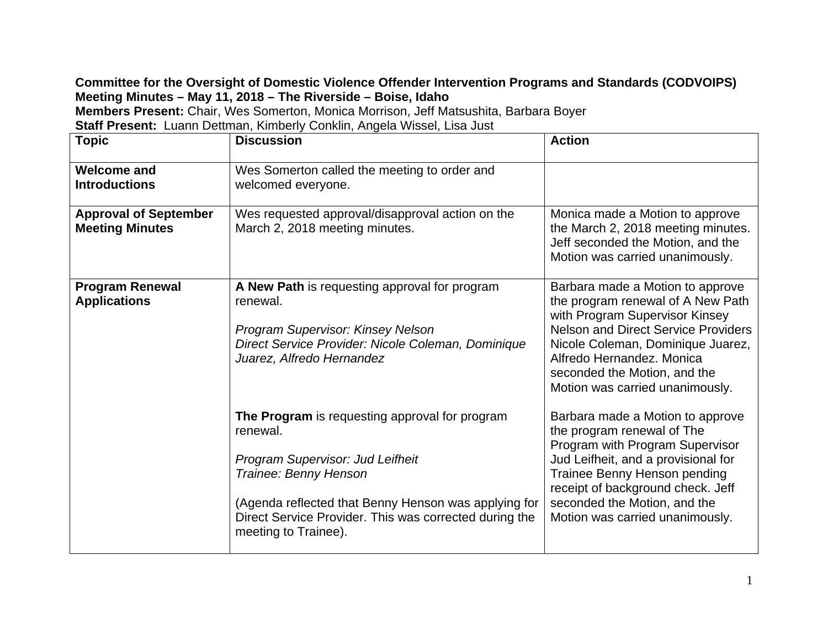## **Committee for the Oversight of Domestic Violence Offender Intervention Programs and Standards (CODVOIPS) Meeting Minutes – May 11, 2018 – The Riverside – Boise, Idaho**

**Members Present:** Chair, Wes Somerton, Monica Morrison, Jeff Matsushita, Barbara Boyer

**Staff Present:** Luann Dettman, Kimberly Conklin, Angela Wissel, Lisa Just

| <b>Topic</b>                                           | <b>Discussion</b>                                                                                                                                                                                                                                                 | <b>Action</b>                                                                                                                                                                                                                                                                              |
|--------------------------------------------------------|-------------------------------------------------------------------------------------------------------------------------------------------------------------------------------------------------------------------------------------------------------------------|--------------------------------------------------------------------------------------------------------------------------------------------------------------------------------------------------------------------------------------------------------------------------------------------|
| <b>Welcome and</b><br><b>Introductions</b>             | Wes Somerton called the meeting to order and<br>welcomed everyone.                                                                                                                                                                                                |                                                                                                                                                                                                                                                                                            |
| <b>Approval of September</b><br><b>Meeting Minutes</b> | Wes requested approval/disapproval action on the<br>March 2, 2018 meeting minutes.                                                                                                                                                                                | Monica made a Motion to approve<br>the March 2, 2018 meeting minutes.<br>Jeff seconded the Motion, and the<br>Motion was carried unanimously.                                                                                                                                              |
| <b>Program Renewal</b><br><b>Applications</b>          | A New Path is requesting approval for program<br>renewal.<br><b>Program Supervisor: Kinsey Nelson</b><br>Direct Service Provider: Nicole Coleman, Dominique<br>Juarez, Alfredo Hernandez                                                                          | Barbara made a Motion to approve<br>the program renewal of A New Path<br>with Program Supervisor Kinsey<br><b>Nelson and Direct Service Providers</b><br>Nicole Coleman, Dominique Juarez,<br>Alfredo Hernandez, Monica<br>seconded the Motion, and the<br>Motion was carried unanimously. |
|                                                        | The Program is requesting approval for program<br>renewal.<br>Program Supervisor: Jud Leifheit<br>Trainee: Benny Henson<br>(Agenda reflected that Benny Henson was applying for<br>Direct Service Provider. This was corrected during the<br>meeting to Trainee). | Barbara made a Motion to approve<br>the program renewal of The<br>Program with Program Supervisor<br>Jud Leifheit, and a provisional for<br>Trainee Benny Henson pending<br>receipt of background check. Jeff<br>seconded the Motion, and the<br>Motion was carried unanimously.           |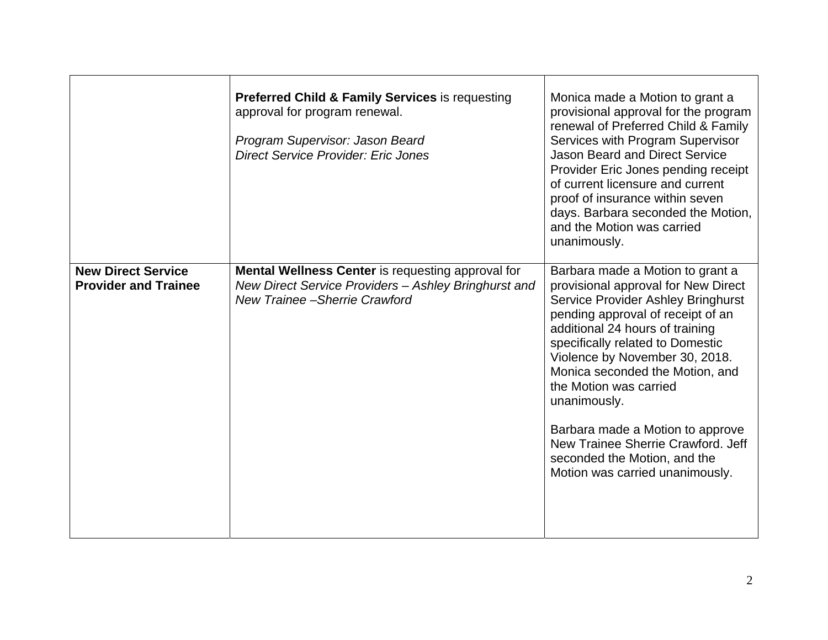|                                                          | <b>Preferred Child &amp; Family Services is requesting</b><br>approval for program renewal.<br>Program Supervisor: Jason Beard<br><b>Direct Service Provider: Eric Jones</b> | Monica made a Motion to grant a<br>provisional approval for the program<br>renewal of Preferred Child & Family<br>Services with Program Supervisor<br><b>Jason Beard and Direct Service</b><br>Provider Eric Jones pending receipt<br>of current licensure and current<br>proof of insurance within seven<br>days. Barbara seconded the Motion,<br>and the Motion was carried<br>unanimously.                                                                                                |
|----------------------------------------------------------|------------------------------------------------------------------------------------------------------------------------------------------------------------------------------|----------------------------------------------------------------------------------------------------------------------------------------------------------------------------------------------------------------------------------------------------------------------------------------------------------------------------------------------------------------------------------------------------------------------------------------------------------------------------------------------|
| <b>New Direct Service</b><br><b>Provider and Trainee</b> | <b>Mental Wellness Center</b> is requesting approval for<br>New Direct Service Providers - Ashley Bringhurst and<br><b>New Trainee - Sherrie Crawford</b>                    | Barbara made a Motion to grant a<br>provisional approval for New Direct<br><b>Service Provider Ashley Bringhurst</b><br>pending approval of receipt of an<br>additional 24 hours of training<br>specifically related to Domestic<br>Violence by November 30, 2018.<br>Monica seconded the Motion, and<br>the Motion was carried<br>unanimously.<br>Barbara made a Motion to approve<br>New Trainee Sherrie Crawford, Jeff<br>seconded the Motion, and the<br>Motion was carried unanimously. |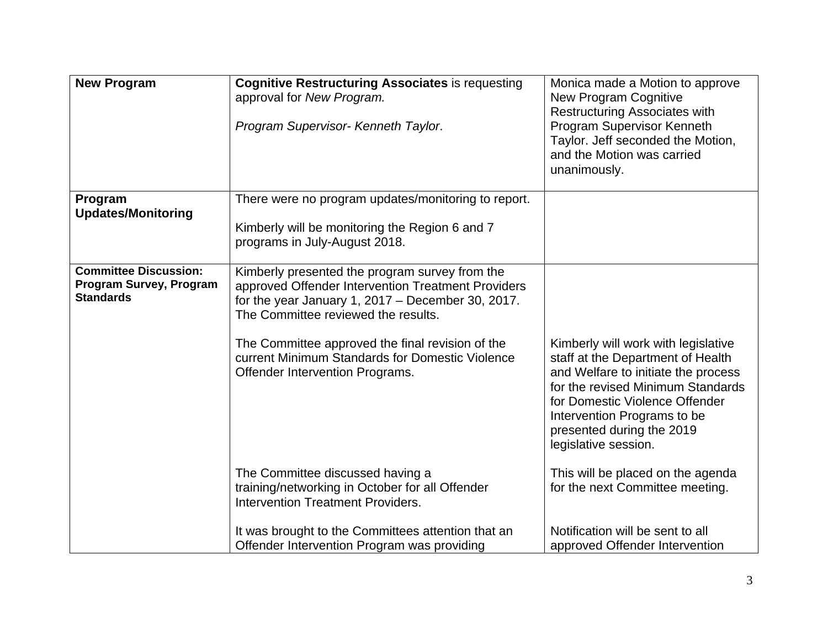| <b>New Program</b>                                                          | <b>Cognitive Restructuring Associates is requesting</b><br>approval for New Program.                                                                                                               | Monica made a Motion to approve<br><b>New Program Cognitive</b><br><b>Restructuring Associates with</b>                                                                                                                                                                    |
|-----------------------------------------------------------------------------|----------------------------------------------------------------------------------------------------------------------------------------------------------------------------------------------------|----------------------------------------------------------------------------------------------------------------------------------------------------------------------------------------------------------------------------------------------------------------------------|
|                                                                             | Program Supervisor- Kenneth Taylor.                                                                                                                                                                | Program Supervisor Kenneth<br>Taylor. Jeff seconded the Motion,<br>and the Motion was carried<br>unanimously.                                                                                                                                                              |
| Program<br><b>Updates/Monitoring</b>                                        | There were no program updates/monitoring to report.<br>Kimberly will be monitoring the Region 6 and 7                                                                                              |                                                                                                                                                                                                                                                                            |
|                                                                             | programs in July-August 2018.                                                                                                                                                                      |                                                                                                                                                                                                                                                                            |
| <b>Committee Discussion:</b><br>Program Survey, Program<br><b>Standards</b> | Kimberly presented the program survey from the<br>approved Offender Intervention Treatment Providers<br>for the year January 1, $2017 -$ December 30, 2017.<br>The Committee reviewed the results. |                                                                                                                                                                                                                                                                            |
|                                                                             | The Committee approved the final revision of the<br>current Minimum Standards for Domestic Violence<br>Offender Intervention Programs.                                                             | Kimberly will work with legislative<br>staff at the Department of Health<br>and Welfare to initiate the process<br>for the revised Minimum Standards<br>for Domestic Violence Offender<br>Intervention Programs to be<br>presented during the 2019<br>legislative session. |
|                                                                             | The Committee discussed having a<br>training/networking in October for all Offender<br><b>Intervention Treatment Providers.</b>                                                                    | This will be placed on the agenda<br>for the next Committee meeting.                                                                                                                                                                                                       |
|                                                                             | It was brought to the Committees attention that an<br>Offender Intervention Program was providing                                                                                                  | Notification will be sent to all<br>approved Offender Intervention                                                                                                                                                                                                         |